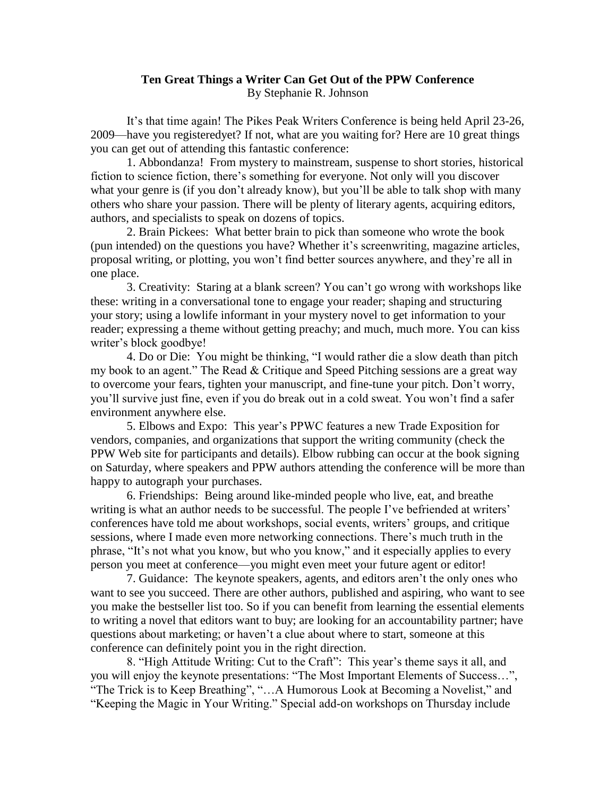## **Ten Great Things a Writer Can Get Out of the PPW Conference** By Stephanie R. Johnson

It's that time again! The Pikes Peak Writers Conference is being held April 23-26, 2009—have you registeredyet? If not, what are you waiting for? Here are 10 great things you can get out of attending this fantastic conference:

1. Abbondanza! From mystery to mainstream, suspense to short stories, historical fiction to science fiction, there's something for everyone. Not only will you discover what your genre is (if you don't already know), but you'll be able to talk shop with many others who share your passion. There will be plenty of literary agents, acquiring editors, authors, and specialists to speak on dozens of topics.

2. Brain Pickees: What better brain to pick than someone who wrote the book (pun intended) on the questions you have? Whether it's screenwriting, magazine articles, proposal writing, or plotting, you won't find better sources anywhere, and they're all in one place.

3. Creativity: Staring at a blank screen? You can't go wrong with workshops like these: writing in a conversational tone to engage your reader; shaping and structuring your story; using a lowlife informant in your mystery novel to get information to your reader; expressing a theme without getting preachy; and much, much more. You can kiss writer's block goodbye!

4. Do or Die: You might be thinking, "I would rather die a slow death than pitch my book to an agent." The Read & Critique and Speed Pitching sessions are a great way to overcome your fears, tighten your manuscript, and fine-tune your pitch. Don't worry, you'll survive just fine, even if you do break out in a cold sweat. You won't find a safer environment anywhere else.

5. Elbows and Expo: This year's PPWC features a new Trade Exposition for vendors, companies, and organizations that support the writing community (check the PPW Web site for participants and details). Elbow rubbing can occur at the book signing on Saturday, where speakers and PPW authors attending the conference will be more than happy to autograph your purchases.

6. Friendships: Being around like-minded people who live, eat, and breathe writing is what an author needs to be successful. The people I've befriended at writers' conferences have told me about workshops, social events, writers' groups, and critique sessions, where I made even more networking connections. There's much truth in the phrase, "It's not what you know, but who you know," and it especially applies to every person you meet at conference—you might even meet your future agent or editor!

7. Guidance: The keynote speakers, agents, and editors aren't the only ones who want to see you succeed. There are other authors, published and aspiring, who want to see you make the bestseller list too. So if you can benefit from learning the essential elements to writing a novel that editors want to buy; are looking for an accountability partner; have questions about marketing; or haven't a clue about where to start, someone at this conference can definitely point you in the right direction.

8. "High Attitude Writing: Cut to the Craft": This year's theme says it all, and you will enjoy the keynote presentations: "The Most Important Elements of Success…", "The Trick is to Keep Breathing", "…A Humorous Look at Becoming a Novelist," and "Keeping the Magic in Your Writing." Special add-on workshops on Thursday include